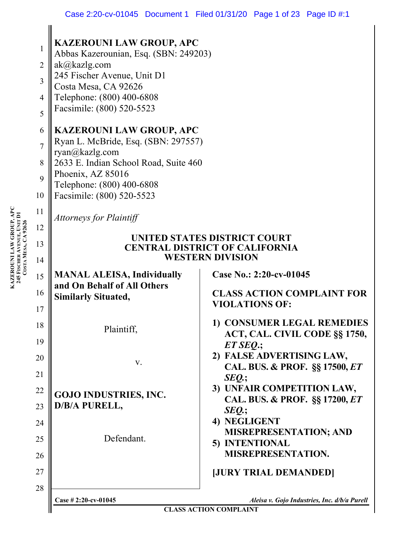|                | <b>KAZEROUNI LAW GROUP, APC</b>                                        |                                               |  |  |
|----------------|------------------------------------------------------------------------|-----------------------------------------------|--|--|
| 1              | Abbas Kazerounian, Esq. (SBN: 249203)                                  |                                               |  |  |
| $\overline{2}$ | ak@kazlg.com                                                           |                                               |  |  |
| 3              | 245 Fischer Avenue, Unit D1<br>Costa Mesa, CA 92626                    |                                               |  |  |
| 4              | Telephone: (800) 400-6808                                              |                                               |  |  |
| 5              | Facsimile: (800) 520-5523                                              |                                               |  |  |
|                |                                                                        |                                               |  |  |
| 6              | <b>KAZEROUNI LAW GROUP, APC</b><br>Ryan L. McBride, Esq. (SBN: 297557) |                                               |  |  |
| $\overline{7}$ | ryan@kazlg.com                                                         |                                               |  |  |
| 8              | 2633 E. Indian School Road, Suite 460                                  |                                               |  |  |
| 9              | Phoenix, AZ 85016                                                      |                                               |  |  |
| 10             | Telephone: (800) 400-6808<br>Facsimile: (800) 520-5523                 |                                               |  |  |
| 11             |                                                                        |                                               |  |  |
|                | <b>Attorneys for Plaintiff</b>                                         |                                               |  |  |
| 12             | UNITED STATES DISTRICT COURT                                           |                                               |  |  |
| 13             | <b>CENTRAL DISTRICT OF CALIFORNIA</b>                                  |                                               |  |  |
| 14             | <b>WESTERN DIVISION</b>                                                |                                               |  |  |
| 15             | <b>MANAL ALEISA, Individually</b>                                      | Case No.: 2:20-cv-01045                       |  |  |
| 16             | and On Behalf of All Others                                            | <b>CLASS ACTION COMPLAINT FOR</b>             |  |  |
| 17             | <b>Similarly Situated,</b>                                             | <b>VIOLATIONS OF:</b>                         |  |  |
|                |                                                                        | 1) CONSUMER LEGAL REMEDIES                    |  |  |
| 18             | Plaintiff,                                                             | ACT, CAL. CIVIL CODE §§ 1750,                 |  |  |
| 19             |                                                                        | $ET$ SEQ:                                     |  |  |
| 20             | V.                                                                     | 2) FALSE ADVERTISING LAW,                     |  |  |
| 21             |                                                                        | CAL. BUS. & PROF. §§ 17500, ET<br>$SEQ$ .;    |  |  |
| 22             |                                                                        | 3) UNFAIR COMPETITION LAW,                    |  |  |
| 23             | <b>GOJO INDUSTRIES, INC.</b><br>D/B/A PURELL,                          | CAL. BUS. & PROF. §§ 17200, ET                |  |  |
|                |                                                                        | SEQ.;                                         |  |  |
| 24             |                                                                        | 4) NEGLIGENT<br><b>MISREPRESENTATION; AND</b> |  |  |
| 25             | Defendant.                                                             | 5) INTENTIONAL                                |  |  |
| 26             |                                                                        | <b>MISREPRESENTATION.</b>                     |  |  |
| 27             |                                                                        | <b>JURY TRIAL DEMANDED</b>                    |  |  |
| 28             |                                                                        |                                               |  |  |
|                | Case #2:20-cv-01045                                                    | Aleisa v. Gojo Industries, Inc. d/b/a Purell  |  |  |
|                | <b>CLASS ACTION COMPLAINT</b>                                          |                                               |  |  |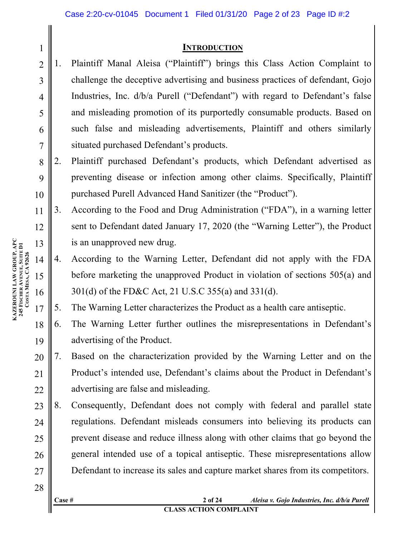#### **INTRODUCTION**

- 2 3 4 5 6 7 1. Plaintiff Manal Aleisa ("Plaintiff") brings this Class Action Complaint to challenge the deceptive advertising and business practices of defendant, Gojo Industries, Inc. d/b/a Purell ("Defendant") with regard to Defendant's false and misleading promotion of its purportedly consumable products. Based on such false and misleading advertisements, Plaintiff and others similarly situated purchased Defendant's products.
- 8 9 10 2. Plaintiff purchased Defendant's products, which Defendant advertised as preventing disease or infection among other claims. Specifically, Plaintiff purchased Purell Advanced Hand Sanitizer (the "Product").
- 11 12 13 3. According to the Food and Drug Administration ("FDA"), in a warning letter sent to Defendant dated January 17, 2020 (the "Warning Letter"), the Product is an unapproved new drug.
	- 4. According to the Warning Letter, Defendant did not apply with the FDA before marketing the unapproved Product in violation of sections 505(a) and 301(d) of the FD&C Act, 21 U.S.C 355(a) and 331(d).
- 17 5. The Warning Letter characterizes the Product as a health care antiseptic.
- 18 19 6. The Warning Letter further outlines the misrepresentations in Defendant's advertising of the Product.
- 20 21 22 7. Based on the characterization provided by the Warning Letter and on the Product's intended use, Defendant's claims about the Product in Defendant's advertising are false and misleading.
- 23 24 25 26 27 8. Consequently, Defendant does not comply with federal and parallel state regulations. Defendant misleads consumers into believing its products can prevent disease and reduce illness along with other claims that go beyond the general intended use of a topical antiseptic. These misrepresentations allow Defendant to increase its sales and capture market shares from its competitors.
- 28

14

15

16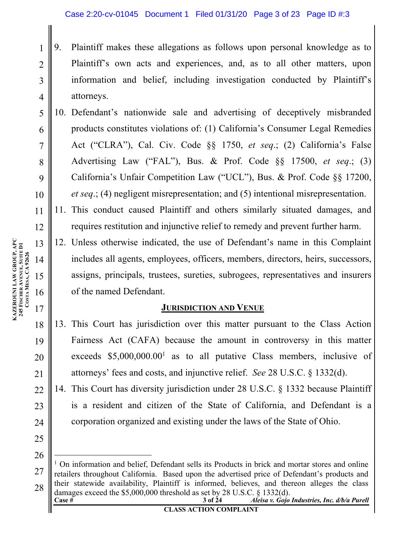- 9. Plaintiff makes these allegations as follows upon personal knowledge as to Plaintiff's own acts and experiences, and, as to all other matters, upon information and belief, including investigation conducted by Plaintiff's attorneys.
- 5 6 7 8 9 10 10. Defendant's nationwide sale and advertising of deceptively misbranded products constitutes violations of: (1) California's Consumer Legal Remedies Act ("CLRA"), Cal. Civ. Code §§ 1750, *et seq*.; (2) California's False Advertising Law ("FAL"), Bus. & Prof. Code §§ 17500, *et seq*.; (3) California's Unfair Competition Law ("UCL"), Bus. & Prof. Code §§ 17200, *et seq*.; (4) negligent misrepresentation; and (5) intentional misrepresentation.
- 12 11. This conduct caused Plaintiff and others similarly situated damages, and requires restitution and injunctive relief to remedy and prevent further harm.
	- 12. Unless otherwise indicated, the use of Defendant's name in this Complaint includes all agents, employees, officers, members, directors, heirs, successors, assigns, principals, trustees, sureties, subrogees, representatives and insurers of the named Defendant.

## **JURISDICTION AND VENUE**

- 13. This Court has jurisdiction over this matter pursuant to the Class Action Fairness Act (CAFA) because the amount in controversy in this matter exceeds  $$5,000,000.00<sup>1</sup>$  as to all putative Class members, inclusive of attorneys' fees and costs, and injunctive relief. *See* 28 U.S.C. § 1332(d).
- 14. This Court has diversity jurisdiction under 28 U.S.C. § 1332 because Plaintiff is a resident and citizen of the State of California, and Defendant is a corporation organized and existing under the laws of the State of Ohio.
- **Case # 3 of 24** *Aleisa v. Gojo Industries, Inc. d/b/a Purell* 27 28 <sup>1</sup> On information and belief, Defendant sells its Products in brick and mortar stores and online retailers throughout California. Based upon the advertised price of Defendant's products and their statewide availability, Plaintiff is informed, believes, and thereon alleges the class damages exceed the \$5,000,000 threshold as set by 28 U.S.C. § 1332(d).

**KAZEROUNI LAW GROUP, APC 245 FISCHER AVENUE, SUITE D1 KAZEROUNI LAW GROUP, APC<br>245 FISCHER AVENUE, SUITE D1<br>COSTA MESA, CA 92626 MESA, CA 92626**

1

2

3

4

11

13

14

15

16

17

18

19

20

21

22

23

24

25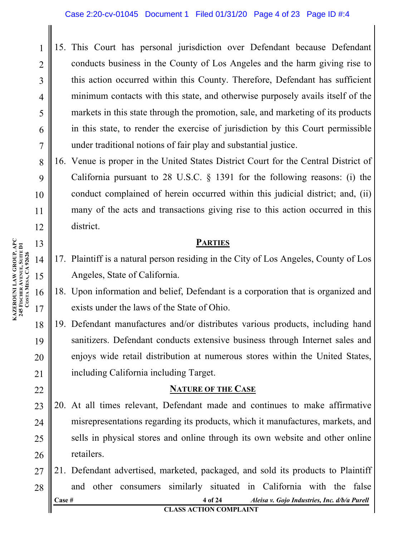- 15. This Court has personal jurisdiction over Defendant because Defendant conducts business in the County of Los Angeles and the harm giving rise to this action occurred within this County. Therefore, Defendant has sufficient minimum contacts with this state, and otherwise purposely avails itself of the markets in this state through the promotion, sale, and marketing of its products in this state, to render the exercise of jurisdiction by this Court permissible under traditional notions of fair play and substantial justice.
- 16. Venue is proper in the United States District Court for the Central District of California pursuant to 28 U.S.C. § 1391 for the following reasons: (i) the conduct complained of herein occurred within this judicial district; and, (ii) many of the acts and transactions giving rise to this action occurred in this district.

## **PARTIES**

- 17. Plaintiff is a natural person residing in the City of Los Angeles, County of Los Angeles, State of California.
- 18. Upon information and belief, Defendant is a corporation that is organized and exists under the laws of the State of Ohio.
- 19. Defendant manufactures and/or distributes various products, including hand sanitizers. Defendant conducts extensive business through Internet sales and enjoys wide retail distribution at numerous stores within the United States, including California including Target.

### **NATURE OF THE CASE**

- 23 24 25 26 20. At all times relevant, Defendant made and continues to make affirmative misrepresentations regarding its products, which it manufactures, markets, and sells in physical stores and online through its own website and other online retailers.
- **Case # 4 of 24** *Aleisa v. Gojo Industries, Inc. d/b/a Purell* **CLASS ACTION COMPLAINT** 27 28 21. Defendant advertised, marketed, packaged, and sold its products to Plaintiff and other consumers similarly situated in California with the false

1

2

3

4

5

6

7

8

9

10

11

12

13

14

15

16

17

18

19

20

21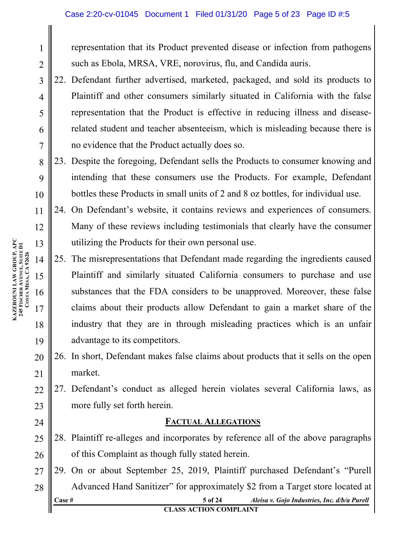representation that its Product prevented disease or infection from pathogens such as Ebola, MRSA, VRE, norovirus, flu, and Candida auris.

22. Defendant further advertised, marketed, packaged, and sold its products to Plaintiff and other consumers similarly situated in California with the false representation that the Product is effective in reducing illness and diseaserelated student and teacher absenteeism, which is misleading because there is no evidence that the Product actually does so.

10 23. Despite the foregoing, Defendant sells the Products to consumer knowing and intending that these consumers use the Products. For example, Defendant bottles these Products in small units of 2 and 8 oz bottles, for individual use.

- 24. On Defendant's website, it contains reviews and experiences of consumers. Many of these reviews including testimonials that clearly have the consumer utilizing the Products for their own personal use.
- 14 15 16 17 18 19 25. The misrepresentations that Defendant made regarding the ingredients caused Plaintiff and similarly situated California consumers to purchase and use substances that the FDA considers to be unapproved. Moreover, these false claims about their products allow Defendant to gain a market share of the industry that they are in through misleading practices which is an unfair advantage to its competitors.
- 20 21 26. In short, Defendant makes false claims about products that it sells on the open market.
- $22$ 23 27. Defendant's conduct as alleged herein violates several California laws, as more fully set forth herein.

## **FACTUAL ALLEGATIONS**

- 25 26 28. Plaintiff re-alleges and incorporates by reference all of the above paragraphs of this Complaint as though fully stated herein.
- **Case # 5 of 24** *Aleisa v. Gojo Industries, Inc. d/b/a Purell* 27 28 29. On or about September 25, 2019, Plaintiff purchased Defendant's "Purell Advanced Hand Sanitizer" for approximately \$2 from a Target store located at

**KAZEROUNI LAW GROUP, APC 245 FISCHER AVENUE, SUITE D1** KAZEROUNI LAW GROUP, APC<br>245 FISCHER AVENUE, SUITE D1<br>COSTAMESA, CA 92626 **MESA, CA 92626**

1

2

3

4

5

6

7

8

9

11

12

13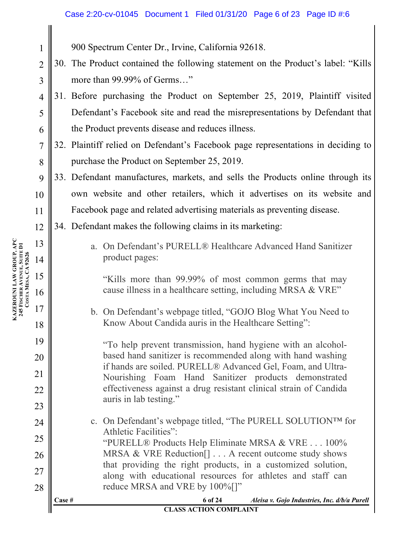900 Spectrum Center Dr., Irvine, California 92618.

- $\mathcal{L}$ 3 30. The Product contained the following statement on the Product's label: "Kills more than 99.99% of Germs…"
- 4 5 6 31. Before purchasing the Product on September 25, 2019, Plaintiff visited Defendant's Facebook site and read the misrepresentations by Defendant that the Product prevents disease and reduces illness.
- 7 8 32. Plaintiff relied on Defendant's Facebook page representations in deciding to purchase the Product on September 25, 2019.
- 9 10 11 33. Defendant manufactures, markets, and sells the Products online through its own website and other retailers, which it advertises on its website and Facebook page and related advertising materials as preventing disease.
- 12 34. Defendant makes the following claims in its marketing:
	- a. On Defendant's PURELL® Healthcare Advanced Hand Sanitizer product pages:

"Kills more than 99.99% of most common germs that may cause illness in a healthcare setting, including MRSA & VRE"

b. On Defendant's webpage titled, "GOJO Blog What You Need to Know About Candida auris in the Healthcare Setting":

"To help prevent transmission, hand hygiene with an alcoholbased hand sanitizer is recommended along with hand washing if hands are soiled. PURELL® Advanced Gel, Foam, and Ultra-Nourishing Foam Hand Sanitizer products demonstrated effectiveness against a drug resistant clinical strain of Candida auris in lab testing."

c. On Defendant's webpage titled, "The PURELL SOLUTION™ for Athletic Facilities": "PURELL® Products Help Eliminate MRSA & VRE . . . 100%

MRSA & VRE Reduction<sup>[]</sup> . . . A recent outcome study shows that providing the right products, in a customized solution, along with educational resources for athletes and staff can reduce MRSA and VRE by  $100\%$ []"

**Case # 6 of 24** *Aleisa v. Gojo Industries, Inc. d/b/a Purell*

#### **CLASS ACTION COMPLAINT**

**KAZEROUNI LAW GROUP, APC 245 FISCHER AVENUE, SUITE D1** KAZEROUNI LAW GROUP, APC<br>245 FISCHER AVENUE, SUITE D1<br>COSTAMESA, CA 92626 **MESA, CA 92626**

13

14

15

16

17

18

19

20

21

22

23

24

25

26

27

28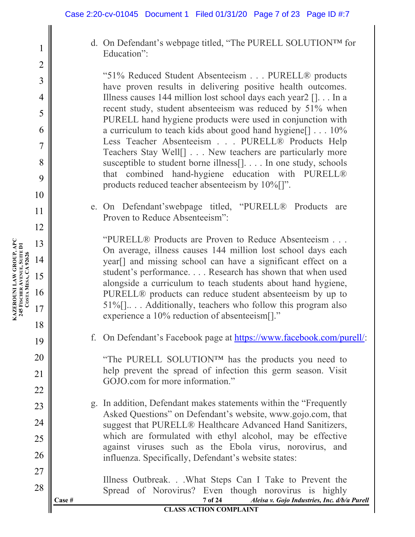d. On Defendant's webpage titled, "The PURELL SOLUTION™ for Education":

"51% Reduced Student Absenteeism . . . PURELL® products have proven results in delivering positive health outcomes. Illness causes 144 million lost school days each year2 []. . . In a recent study, student absenteeism was reduced by 51% when PURELL hand hygiene products were used in conjunction with a curriculum to teach kids about good hand hygiene[] . . . 10% Less Teacher Absenteeism . . . PURELL® Products Help Teachers Stay Well[] . . . New teachers are particularly more susceptible to student borne illness[]. . . . In one study, schools that combined hand-hygiene education with PURELL® products reduced teacher absenteeism by 10%[]".

e. On Defendant'swebpage titled, "PURELL® Products are Proven to Reduce Absenteeism":

"PURELL® Products are Proven to Reduce Absenteeism . . . On average, illness causes 144 million lost school days each year[] and missing school can have a significant effect on a student's performance. . . . Research has shown that when used alongside a curriculum to teach students about hand hygiene, PURELL® products can reduce student absenteeism by up to 51%[].. . . Additionally, teachers who follow this program also experience a 10% reduction of absenteeism[]."

f. On Defendant's Facebook page at https://www.facebook.com/purell/:

"The PURELL SOLUTION™ has the products you need to help prevent the spread of infection this germ season. Visit GOJO.com for more information."

g. In addition, Defendant makes statements within the "Frequently Asked Questions" on Defendant's website, www.gojo.com, that suggest that PURELL® Healthcare Advanced Hand Sanitizers, which are formulated with ethyl alcohol, may be effective against viruses such as the Ebola virus, norovirus, and influenza. Specifically, Defendant's website states:

**Case # 7 of 24** *Aleisa v. Gojo Industries, Inc. d/b/a Purell* Illness Outbreak. . .What Steps Can I Take to Prevent the Spread of Norovirus? Even though norovirus is highly

1

2

3

4

5

6

7

8

9

10

11

12

13

14

15

16

17

18

19

20

21

22

23

24

25

26

27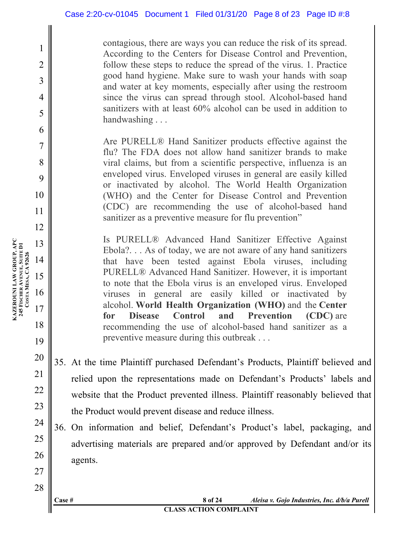contagious, there are ways you can reduce the risk of its spread. According to the Centers for Disease Control and Prevention, follow these steps to reduce the spread of the virus. 1. Practice good hand hygiene. Make sure to wash your hands with soap and water at key moments, especially after using the restroom since the virus can spread through stool. Alcohol-based hand sanitizers with at least 60% alcohol can be used in addition to handwashing . . .

Are PURELL® Hand Sanitizer products effective against the flu? The FDA does not allow hand sanitizer brands to make viral claims, but from a scientific perspective, influenza is an enveloped virus. Enveloped viruses in general are easily killed or inactivated by alcohol. The World Health Organization (WHO) and the Center for Disease Control and Prevention (CDC) are recommending the use of alcohol-based hand sanitizer as a preventive measure for flu prevention"

Is PURELL® Advanced Hand Sanitizer Effective Against Ebola?. . . As of today, we are not aware of any hand sanitizers that have been tested against Ebola viruses, including PURELL® Advanced Hand Sanitizer. However, it is important to note that the Ebola virus is an enveloped virus. Enveloped viruses in general are easily killed or inactivated by alcohol. **World Health Organization (WHO)** and the **Center for Disease Control and Prevention (CDC)** are recommending the use of alcohol-based hand sanitizer as a preventive measure during this outbreak . . .

- 35. At the time Plaintiff purchased Defendant's Products, Plaintiff believed and relied upon the representations made on Defendant's Products' labels and website that the Product prevented illness. Plaintiff reasonably believed that the Product would prevent disease and reduce illness.
- 36. On information and belief, Defendant's Product's label, packaging, and advertising materials are prepared and/or approved by Defendant and/or its agents.

**KAZEROUNI LAW GROUP, APC 245 FISCHER AVENUE, SUITE D1** KAZEROUNI LAW GROUP, APC<br>245 FISCHER AVENUE, SUITE D1<br>COSTAMESA, CA 92626 **MESA, CA 92626** 13 14 15 16

1

2

3

4

5

6

7

8

9

10

11

12

17

18

19

20

21

22

23

24

25

26

27

28

**Case # 8 of 24** *Aleisa v. Gojo Industries, Inc. d/b/a Purell*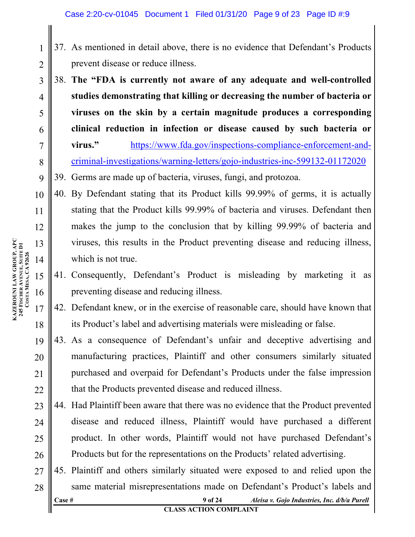- 37. As mentioned in detail above, there is no evidence that Defendant's Products prevent disease or reduce illness.
- 3 4 5 6 7 8 38. **The "FDA is currently not aware of any adequate and well-controlled studies demonstrating that killing or decreasing the number of bacteria or viruses on the skin by a certain magnitude produces a corresponding clinical reduction in infection or disease caused by such bacteria or virus."** https://www.fda.gov/inspections-compliance-enforcement-andcriminal-investigations/warning-letters/gojo-industries-inc-599132-01172020
- 9 39. Germs are made up of bacteria, viruses, fungi, and protozoa.
- 10 11 12 13 14 40. By Defendant stating that its Product kills 99.99% of germs, it is actually stating that the Product kills 99.99% of bacteria and viruses. Defendant then makes the jump to the conclusion that by killing 99.99% of bacteria and viruses, this results in the Product preventing disease and reducing illness, which is not true.
	- 41. Consequently, Defendant's Product is misleading by marketing it as preventing disease and reducing illness.
- 17 18 42. Defendant knew, or in the exercise of reasonable care, should have known that its Product's label and advertising materials were misleading or false.
- 19 20 21 22 43. As a consequence of Defendant's unfair and deceptive advertising and manufacturing practices, Plaintiff and other consumers similarly situated purchased and overpaid for Defendant's Products under the false impression that the Products prevented disease and reduced illness.
- 23 24 25 26 44. Had Plaintiff been aware that there was no evidence that the Product prevented disease and reduced illness, Plaintiff would have purchased a different product. In other words, Plaintiff would not have purchased Defendant's Products but for the representations on the Products' related advertising.
- **Case # 9 of 24** *Aleisa v. Gojo Industries, Inc. d/b/a Purell* **CLASS ACTION COMPLAINT** 27 28 45. Plaintiff and others similarly situated were exposed to and relied upon the same material misrepresentations made on Defendant's Product's labels and

15

16

1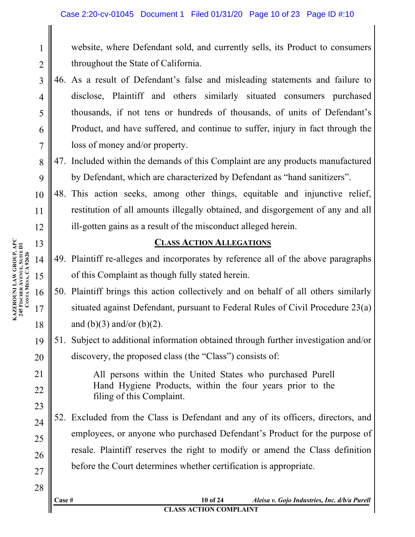website, where Defendant sold, and currently sells, its Product to consumers throughout the State of California.

- 46. As a result of Defendant's false and misleading statements and failure to disclose, Plaintiff and others similarly situated consumers purchased thousands, if not tens or hundreds of thousands, of units of Defendant's Product, and have suffered, and continue to suffer, injury in fact through the loss of money and/or property.
- 8 9 47. Included within the demands of this Complaint are any products manufactured by Defendant, which are characterized by Defendant as "hand sanitizers".
- 10 11 12 48. This action seeks, among other things, equitable and injunctive relief, restitution of all amounts illegally obtained, and disgorgement of any and all ill-gotten gains as a result of the misconduct alleged herein.

## **CLASS ACTION ALLEGATIONS**

- 49. Plaintiff re-alleges and incorporates by reference all of the above paragraphs of this Complaint as though fully stated herein.
- 50. Plaintiff brings this action collectively and on behalf of all others similarly situated against Defendant, pursuant to Federal Rules of Civil Procedure 23(a) and  $(b)(3)$  and/or  $(b)(2)$ .
- 19 20 51. Subject to additional information obtained through further investigation and/or discovery, the proposed class (the "Class") consists of:

All persons within the United States who purchased Purell Hand Hygiene Products, within the four years prior to the filing of this Complaint.

52. Excluded from the Class is Defendant and any of its officers, directors, and employees, or anyone who purchased Defendant's Product for the purpose of resale. Plaintiff reserves the right to modify or amend the Class definition before the Court determines whether certification is appropriate.

**KAZEROUNI LAW GROUP, APC 245 FISCHER AVENUE, SUITE D1 KAZEROUNI LAW GROUP, APC<br>245 FISCHER AVENUE, SUITE D1<br>COSTA MESA, CA 92626 MESA, CA 92626**

1

2

3

4

5

6

7

13

14

15

16

17

18

21

22

23

24

25

26

27

#### **CLASS ACTION COMPLAINT**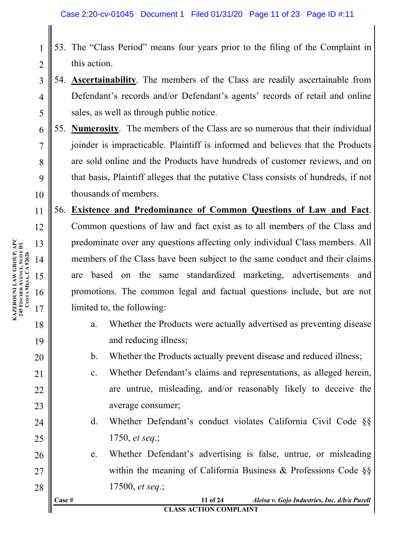- 53. The "Class Period" means four years prior to the filing of the Complaint in this action.
- 54. **Ascertainability**. The members of the Class are readily ascertainable from Defendant's records and/or Defendant's agents' records of retail and online sales, as well as through public notice.
- 6 7 8 9 10 55. **Numerosity**. The members of the Class are so numerous that their individual joinder is impracticable. Plaintiff is informed and believes that the Products are sold online and the Products have hundreds of customer reviews, and on that basis, Plaintiff alleges that the putative Class consists of hundreds, if not thousands of members.
- 11 12 13 14 15 16 17 56. **Existence and Predominance of Common Questions of Law and Fact**. Common questions of law and fact exist as to all members of the Class and predominate over any questions affecting only individual Class members. All members of the Class have been subject to the same conduct and their claims are based on the same standardized marketing, advertisements and promotions. The common legal and factual questions include, but are not limited to, the following:
	- a. Whether the Products were actually advertised as preventing disease and reducing illness;
	- b. Whether the Products actually prevent disease and reduced illness;
	- c. Whether Defendant's claims and representations, as alleged herein, are untrue, misleading, and/or reasonably likely to deceive the average consumer;
	- d. Whether Defendant's conduct violates California Civil Code §§ 1750, *et seq*.;
	- e. Whether Defendant's advertising is false, untrue, or misleading within the meaning of California Business & Professions Code §§ 17500, *et seq*.;

**Case # 11 of 24** *Aleisa v. Gojo Industries, Inc. d/b/a Purell* **CLASS ACTION COMPLAINT**

**KAZEROUNI LAW GROUP, APC 245 FISCHER AVENUE, SUITE D1** KAZEROUNI LAW GROUP, APC<br>245 FISCHER AVENUE, SUITE D1<br>COSTAMESA, CA 92626 **MESA, CA 92626**

18

19

20

21

22

23

24

25

26

27

28

1

2

3

4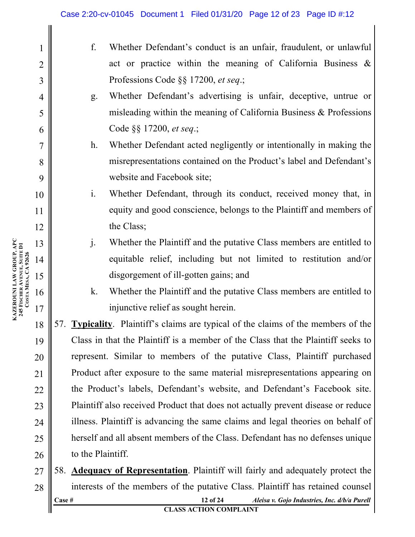| $\mathbf 1$    |                                                                                  | f.                                                                                          | Whether Defendant's conduct is an unfair, fraudulent, or unlawful                          |  |
|----------------|----------------------------------------------------------------------------------|---------------------------------------------------------------------------------------------|--------------------------------------------------------------------------------------------|--|
| $\overline{2}$ |                                                                                  |                                                                                             | act or practice within the meaning of California Business $\&$                             |  |
| 3              |                                                                                  |                                                                                             | Professions Code §§ 17200, et seq.;                                                        |  |
| 4              |                                                                                  | g.                                                                                          | Whether Defendant's advertising is unfair, deceptive, untrue or                            |  |
| 5              |                                                                                  |                                                                                             | misleading within the meaning of California Business & Professions                         |  |
| 6              |                                                                                  |                                                                                             | Code §§ 17200, et seq.;                                                                    |  |
| $\overline{7}$ |                                                                                  | h.                                                                                          | Whether Defendant acted negligently or intentionally in making the                         |  |
| 8              |                                                                                  |                                                                                             | misrepresentations contained on the Product's label and Defendant's                        |  |
| 9              |                                                                                  |                                                                                             | website and Facebook site;                                                                 |  |
| 10             |                                                                                  | $\mathbf{i}$ .                                                                              | Whether Defendant, through its conduct, received money that, in                            |  |
| 11             |                                                                                  |                                                                                             | equity and good conscience, belongs to the Plaintiff and members of                        |  |
| 12             |                                                                                  |                                                                                             | the Class;                                                                                 |  |
| 13             |                                                                                  | $\mathbf{j}$ .                                                                              | Whether the Plaintiff and the putative Class members are entitled to                       |  |
| 14             |                                                                                  |                                                                                             | equitable relief, including but not limited to restitution and/or                          |  |
| 15             |                                                                                  |                                                                                             | disgorgement of ill-gotten gains; and                                                      |  |
| 16             |                                                                                  | k.                                                                                          | Whether the Plaintiff and the putative Class members are entitled to                       |  |
| 17             |                                                                                  |                                                                                             | injunctive relief as sought herein.                                                        |  |
| 18             |                                                                                  |                                                                                             | 57. <b>Typicality</b> . Plaintiff's claims are typical of the claims of the members of the |  |
| 19             | Class in that the Plaintiff is a member of the Class that the Plaintiff seeks to |                                                                                             |                                                                                            |  |
| 20             | represent. Similar to members of the putative Class, Plaintiff purchased         |                                                                                             |                                                                                            |  |
| 21             | Product after exposure to the same material misrepresentations appearing on      |                                                                                             |                                                                                            |  |
| 22             | the Product's labels, Defendant's website, and Defendant's Facebook site.        |                                                                                             |                                                                                            |  |
| 23             | Plaintiff also received Product that does not actually prevent disease or reduce |                                                                                             |                                                                                            |  |
| 24             |                                                                                  | illness. Plaintiff is advancing the same claims and legal theories on behalf of             |                                                                                            |  |
| 25             | herself and all absent members of the Class. Defendant has no defenses unique    |                                                                                             |                                                                                            |  |
| 26             |                                                                                  | to the Plaintiff.                                                                           |                                                                                            |  |
| 27             |                                                                                  | <b>Adequacy of Representation</b> . Plaintiff will fairly and adequately protect the<br>58. |                                                                                            |  |
| 28             |                                                                                  | interests of the members of the putative Class. Plaintiff has retained counsel              |                                                                                            |  |
|                | Case #                                                                           |                                                                                             | 12 of 24<br>Aleisa v. Gojo Industries, Inc. d/b/a Purell                                   |  |

**KAZEROUNI LAW GROUP, APC 245 FISCHER AVENUE, SUITE D1** KAZEROUNI LAW GROUP, APC<br>245 FISCHER AVENUE, SUITE DI<br>COSTA MESA, CA 92626 **MESA, CA 92626**

**CLASS ACTION COMPLAINT**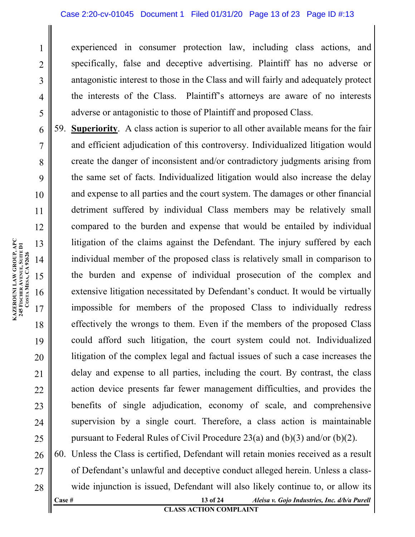experienced in consumer protection law, including class actions, and specifically, false and deceptive advertising. Plaintiff has no adverse or antagonistic interest to those in the Class and will fairly and adequately protect the interests of the Class. Plaintiff's attorneys are aware of no interests adverse or antagonistic to those of Plaintiff and proposed Class.

59. **Superiority**. A class action is superior to all other available means for the fair and efficient adjudication of this controversy. Individualized litigation would create the danger of inconsistent and/or contradictory judgments arising from the same set of facts. Individualized litigation would also increase the delay and expense to all parties and the court system. The damages or other financial detriment suffered by individual Class members may be relatively small compared to the burden and expense that would be entailed by individual litigation of the claims against the Defendant. The injury suffered by each individual member of the proposed class is relatively small in comparison to the burden and expense of individual prosecution of the complex and extensive litigation necessitated by Defendant's conduct. It would be virtually impossible for members of the proposed Class to individually redress effectively the wrongs to them. Even if the members of the proposed Class could afford such litigation, the court system could not. Individualized litigation of the complex legal and factual issues of such a case increases the delay and expense to all parties, including the court. By contrast, the class action device presents far fewer management difficulties, and provides the benefits of single adjudication, economy of scale, and comprehensive supervision by a single court. Therefore, a class action is maintainable pursuant to Federal Rules of Civil Procedure 23(a) and (b)(3) and/or (b)(2).

**Case # 13 of 24** *Aleisa v. Gojo Industries, Inc. d/b/a Purell* 60. Unless the Class is certified, Defendant will retain monies received as a result of Defendant's unlawful and deceptive conduct alleged herein. Unless a classwide injunction is issued, Defendant will also likely continue to, or allow its

1

2

3

4

5

6

7

8

9

10

11

12

13

14

15

16

17

18

19

20

21

22

23

24

25

26

27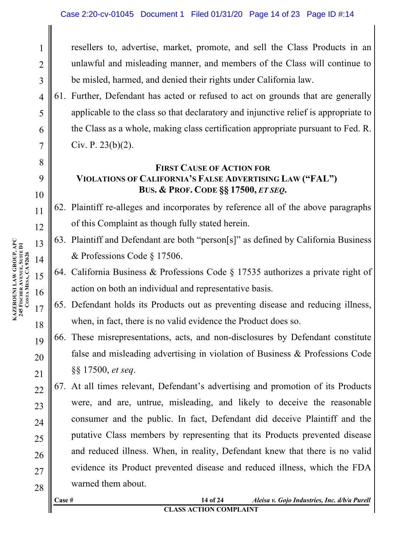resellers to, advertise, market, promote, and sell the Class Products in an unlawful and misleading manner, and members of the Class will continue to be misled, harmed, and denied their rights under California law.

61. Further, Defendant has acted or refused to act on grounds that are generally applicable to the class so that declaratory and injunctive relief is appropriate to the Class as a whole, making class certification appropriate pursuant to Fed. R. Civ. P. 23(b)(2).

## **FIRST CAUSE OF ACTION FOR VIOLATIONS OF CALIFORNIA'S FALSE ADVERTISING LAW ("FAL") BUS. & PROF. CODE §§ 17500,** *ET SEQ***.**

62. Plaintiff re-alleges and incorporates by reference all of the above paragraphs of this Complaint as though fully stated herein.

- 63. Plaintiff and Defendant are both "person[s]" as defined by California Business & Professions Code § 17506.
- 64. California Business & Professions Code § 17535 authorizes a private right of action on both an individual and representative basis.
- 65. Defendant holds its Products out as preventing disease and reducing illness, when, in fact, there is no valid evidence the Product does so.
- 19 20 21 66. These misrepresentations, acts, and non-disclosures by Defendant constitute false and misleading advertising in violation of Business & Professions Code §§ 17500, *et seq*.
- 22 23 24 25 26 27 28 67. At all times relevant, Defendant's advertising and promotion of its Products were, and are, untrue, misleading, and likely to deceive the reasonable consumer and the public. In fact, Defendant did deceive Plaintiff and the putative Class members by representing that its Products prevented disease and reduced illness. When, in reality, Defendant knew that there is no valid evidence its Product prevented disease and reduced illness, which the FDA warned them about.

**Case # 14 of 24** *Aleisa v. Gojo Industries, Inc. d/b/a Purell*

#### **CLASS ACTION COMPLAINT**

**KAZEROUNI LAW GROUP, APC 245 FISCHER AVENUE, SUITE D1** KAZEROUNI LAW GROUP, APC<br>245 FISCHER AVENUE, SUITE D1<br>COSTAMESA, CA 92626 **MESA, CA 92626**

1

2

3

4

5

6

7

8

9

10

11

12

13

14

15

16

17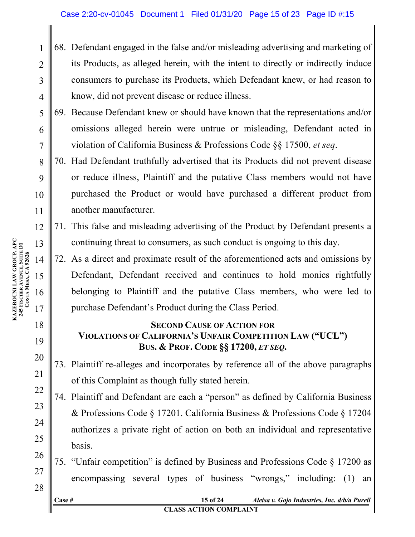- 68. Defendant engaged in the false and/or misleading advertising and marketing of its Products, as alleged herein, with the intent to directly or indirectly induce consumers to purchase its Products, which Defendant knew, or had reason to know, did not prevent disease or reduce illness.
- 5 6 7 69. Because Defendant knew or should have known that the representations and/or omissions alleged herein were untrue or misleading, Defendant acted in violation of California Business & Professions Code §§ 17500, *et seq*.
	- 70. Had Defendant truthfully advertised that its Products did not prevent disease or reduce illness, Plaintiff and the putative Class members would not have purchased the Product or would have purchased a different product from another manufacturer.
	- 71. This false and misleading advertising of the Product by Defendant presents a continuing threat to consumers, as such conduct is ongoing to this day.
	- 72. As a direct and proximate result of the aforementioned acts and omissions by Defendant, Defendant received and continues to hold monies rightfully belonging to Plaintiff and the putative Class members, who were led to purchase Defendant's Product during the Class Period.

## **SECOND CAUSE OF ACTION FOR VIOLATIONS OF CALIFORNIA'S UNFAIR COMPETITION LAW ("UCL") BUS. & PROF. CODE §§ 17200,** *ET SEQ***.**

- 73. Plaintiff re-alleges and incorporates by reference all of the above paragraphs of this Complaint as though fully stated herein.
- 74. Plaintiff and Defendant are each a "person" as defined by California Business & Professions Code § 17201. California Business & Professions Code § 17204 authorizes a private right of action on both an individual and representative basis.
- 75. "Unfair competition" is defined by Business and Professions Code § 17200 as encompassing several types of business "wrongs," including: (1) an

**KAZEROUNI LAW GROUP, APC 245 FISCHER AVENUE, SUITE D1** KAZEROUNI LAW GROUP, APC<br>245 FISCHER AVENUE, SUITE D1<br>COSTAMESA, CA 92626 **MESA, CA 92626**

1

2

3

4

8

9

10

11

12

13

14

15

16

17

18

19

20

21

22

23

24

25

26

27

28

**Case # 15 of 24** *Aleisa v. Gojo Industries, Inc. d/b/a Purell*

### **CLASS ACTION COMPLAINT**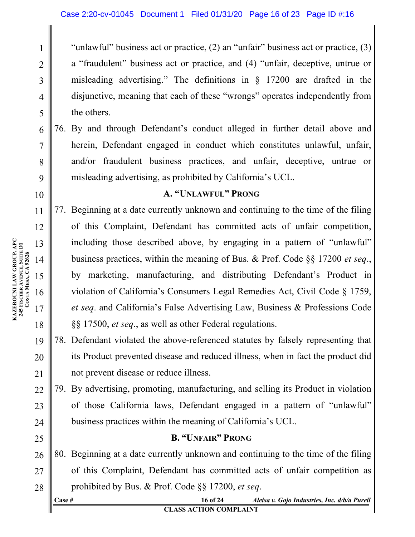"unlawful" business act or practice, (2) an "unfair" business act or practice, (3) a "fraudulent" business act or practice, and (4) "unfair, deceptive, untrue or misleading advertising." The definitions in § 17200 are drafted in the disjunctive, meaning that each of these "wrongs" operates independently from the others.

76. By and through Defendant's conduct alleged in further detail above and herein, Defendant engaged in conduct which constitutes unlawful, unfair, and/or fraudulent business practices, and unfair, deceptive, untrue or misleading advertising, as prohibited by California's UCL.

#### **A. "UNLAWFUL" PRONG**

77. Beginning at a date currently unknown and continuing to the time of the filing of this Complaint, Defendant has committed acts of unfair competition, including those described above, by engaging in a pattern of "unlawful" business practices, within the meaning of Bus. & Prof. Code §§ 17200 *et seq*., by marketing, manufacturing, and distributing Defendant's Product in violation of California's Consumers Legal Remedies Act, Civil Code § 1759, *et seq*. and California's False Advertising Law, Business & Professions Code §§ 17500, *et seq*., as well as other Federal regulations.

- 19 20 21 78. Defendant violated the above-referenced statutes by falsely representing that its Product prevented disease and reduced illness, when in fact the product did not prevent disease or reduce illness.
- 22 23 24 79. By advertising, promoting, manufacturing, and selling its Product in violation of those California laws, Defendant engaged in a pattern of "unlawful" business practices within the meaning of California's UCL.

#### **B. "UNFAIR" PRONG**

26 27 28 80. Beginning at a date currently unknown and continuing to the time of the filing of this Complaint, Defendant has committed acts of unfair competition as prohibited by Bus. & Prof. Code §§ 17200, *et seq*.

| $\csc \frac{4}{7}$            | 16 of 24 | Aleisa v. Gojo Industries, Inc. d/b/a Purell |  |  |  |
|-------------------------------|----------|----------------------------------------------|--|--|--|
| <b>CLASS ACTION COMPLAINT</b> |          |                                              |  |  |  |

1

2

3

4

5

6

7

8

9

10

11

12

13

14

15

16

17

18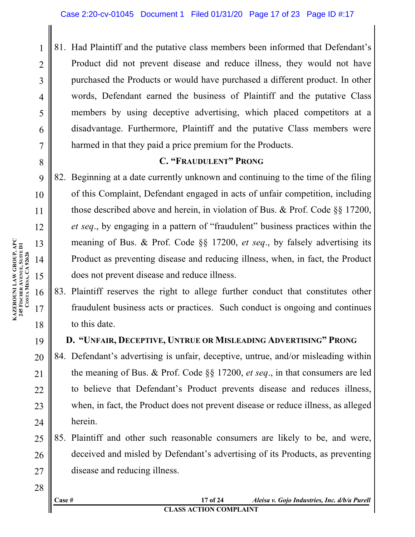81. Had Plaintiff and the putative class members been informed that Defendant's Product did not prevent disease and reduce illness, they would not have purchased the Products or would have purchased a different product. In other words, Defendant earned the business of Plaintiff and the putative Class members by using deceptive advertising, which placed competitors at a disadvantage. Furthermore, Plaintiff and the putative Class members were harmed in that they paid a price premium for the Products.

## **C. "FRAUDULENT" PRONG**

82. Beginning at a date currently unknown and continuing to the time of the filing of this Complaint, Defendant engaged in acts of unfair competition, including those described above and herein, in violation of Bus. & Prof. Code §§ 17200, *et seq*., by engaging in a pattern of "fraudulent" business practices within the meaning of Bus. & Prof. Code §§ 17200, *et seq*., by falsely advertising its Product as preventing disease and reducing illness, when, in fact, the Product does not prevent disease and reduce illness.

83. Plaintiff reserves the right to allege further conduct that constitutes other fraudulent business acts or practices. Such conduct is ongoing and continues to this date.

# **D. "UNFAIR, DECEPTIVE, UNTRUE OR MISLEADING ADVERTISING" PRONG**

20 21 22 23 24 84. Defendant's advertising is unfair, deceptive, untrue, and/or misleading within the meaning of Bus. & Prof. Code §§ 17200, *et seq*., in that consumers are led to believe that Defendant's Product prevents disease and reduces illness, when, in fact, the Product does not prevent disease or reduce illness, as alleged herein.

25 26 27 85. Plaintiff and other such reasonable consumers are likely to be, and were, deceived and misled by Defendant's advertising of its Products, as preventing disease and reducing illness.

**Case # 17 of 24** *Aleisa v. Gojo Industries, Inc. d/b/a Purell* **CLASS ACTION COMPLAINT**

1

2

3

4

5

6

7

8

9

10

11

12

13

14

15

16

17

18

19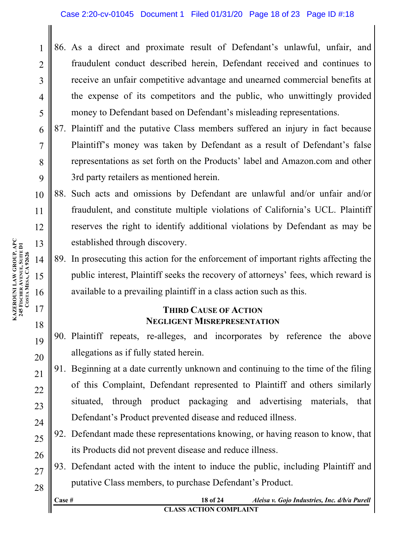- 86. As a direct and proximate result of Defendant's unlawful, unfair, and fraudulent conduct described herein, Defendant received and continues to receive an unfair competitive advantage and unearned commercial benefits at the expense of its competitors and the public, who unwittingly provided money to Defendant based on Defendant's misleading representations.
- 87. Plaintiff and the putative Class members suffered an injury in fact because Plaintiff's money was taken by Defendant as a result of Defendant's false representations as set forth on the Products' label and Amazon.com and other 3rd party retailers as mentioned herein.

10 11 12 13 88. Such acts and omissions by Defendant are unlawful and/or unfair and/or fraudulent, and constitute multiple violations of California's UCL. Plaintiff reserves the right to identify additional violations by Defendant as may be established through discovery.

89. In prosecuting this action for the enforcement of important rights affecting the public interest, Plaintiff seeks the recovery of attorneys' fees, which reward is available to a prevailing plaintiff in a class action such as this.

### **THIRD CAUSE OF ACTION NEGLIGENT MISREPRESENTATION**

- 90. Plaintiff repeats, re-alleges, and incorporates by reference the above allegations as if fully stated herein.
- 91. Beginning at a date currently unknown and continuing to the time of the filing of this Complaint, Defendant represented to Plaintiff and others similarly situated, through product packaging and advertising materials, that Defendant's Product prevented disease and reduced illness.
- 92. Defendant made these representations knowing, or having reason to know, that its Products did not prevent disease and reduce illness.
- 27 28 93. Defendant acted with the intent to induce the public, including Plaintiff and putative Class members, to purchase Defendant's Product.
	- **Case # 18 of 24** *Aleisa v. Gojo Industries, Inc. d/b/a Purell* **CLASS ACTION COMPLAINT**

1

2

3

4

5

6

7

8

9

14

15

16

17

18

19

20

21

22

23

24

25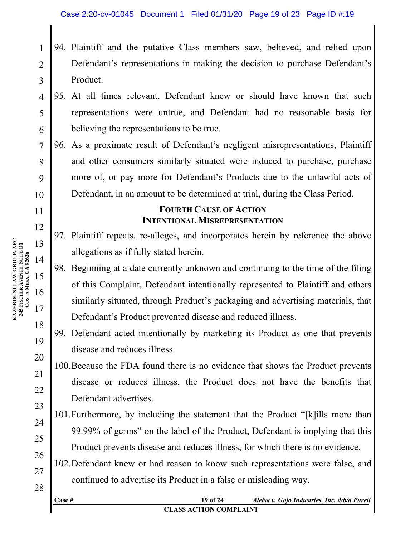- 94. Plaintiff and the putative Class members saw, believed, and relied upon Defendant's representations in making the decision to purchase Defendant's Product.
- 4 5 6 95. At all times relevant, Defendant knew or should have known that such representations were untrue, and Defendant had no reasonable basis for believing the representations to be true.
- 7 8 9 10 96. As a proximate result of Defendant's negligent misrepresentations, Plaintiff and other consumers similarly situated were induced to purchase, purchase more of, or pay more for Defendant's Products due to the unlawful acts of Defendant, in an amount to be determined at trial, during the Class Period.

# **FOURTH CAUSE OF ACTION INTENTIONAL MISREPRESENTATION**

- 97. Plaintiff repeats, re-alleges, and incorporates herein by reference the above allegations as if fully stated herein.
- 98. Beginning at a date currently unknown and continuing to the time of the filing of this Complaint, Defendant intentionally represented to Plaintiff and others similarly situated, through Product's packaging and advertising materials, that Defendant's Product prevented disease and reduced illness.
- 99. Defendant acted intentionally by marketing its Product as one that prevents disease and reduces illness.
- 100.Because the FDA found there is no evidence that shows the Product prevents disease or reduces illness, the Product does not have the benefits that Defendant advertises.
- 101.Furthermore, by including the statement that the Product "[k]ills more than 99.99% of germs" on the label of the Product, Defendant is implying that this Product prevents disease and reduces illness, for which there is no evidence.
- 102.Defendant knew or had reason to know such representations were false, and continued to advertise its Product in a false or misleading way.

**KAZEROUNI LAW GROUP, APC 245 FISCHER AVENUE, SUITE D1** KAZEROUNI LAW GROUP, APC<br>245 FISCHER AVENUE, SUITE D1<br>COSTAMESA, CA 92626 **MESA, CA 92626**

1

2

3

11

12

13

14

15

16

17

18

19

20

21

22

23

24

25

26

27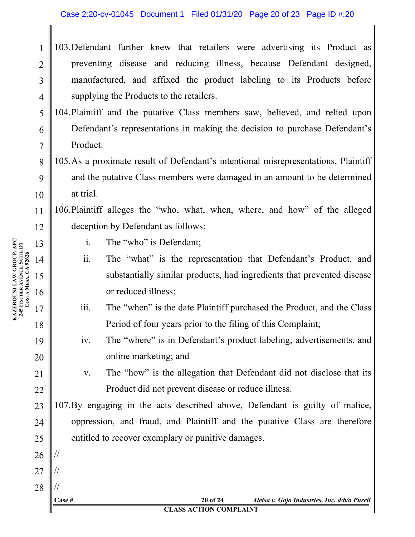#### Case 2:20-cv-01045 Document 1 Filed 01/31/20 Page 20 of 23 Page ID #:20

- 103.Defendant further knew that retailers were advertising its Product as preventing disease and reducing illness, because Defendant designed, manufactured, and affixed the product labeling to its Products before supplying the Products to the retailers.
- 104.Plaintiff and the putative Class members saw, believed, and relied upon Defendant's representations in making the decision to purchase Defendant's Product.
- 105.As a proximate result of Defendant's intentional misrepresentations, Plaintiff and the putative Class members were damaged in an amount to be determined at trial.

106.Plaintiff alleges the "who, what, when, where, and how" of the alleged deception by Defendant as follows:

- i. The "who" is Defendant;
- ii. The "what" is the representation that Defendant's Product, and substantially similar products, had ingredients that prevented disease or reduced illness;
- iii. The "when" is the date Plaintiff purchased the Product, and the Class Period of four years prior to the filing of this Complaint;
- iv. The "where" is in Defendant's product labeling, advertisements, and online marketing; and
	- v. The "how" is the allegation that Defendant did not disclose that its Product did not prevent disease or reduce illness.

107.By engaging in the acts described above, Defendant is guilty of malice, oppression, and fraud, and Plaintiff and the putative Class are therefore entitled to recover exemplary or punitive damages.

1

2

3

4

5

6

7

8

9

10

11

12

13

14

15

16

17

18

19

20

21

22

23

24

25

26

//

//

//

27

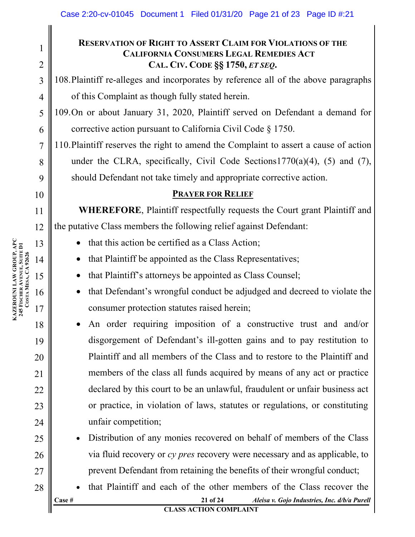## **RESERVATION OF RIGHT TO ASSERT CLAIM FOR VIOLATIONS OF THE CALIFORNIA CONSUMERS LEGAL REMEDIES ACT CAL. CIV. CODE §§ 1750,** *ET SEQ***.**

108.Plaintiff re-alleges and incorporates by reference all of the above paragraphs of this Complaint as though fully stated herein.

109.On or about January 31, 2020, Plaintiff served on Defendant a demand for corrective action pursuant to California Civil Code § 1750.

110.Plaintiff reserves the right to amend the Complaint to assert a cause of action under the CLRA, specifically, Civil Code Sections  $1770(a)(4)$ , (5) and (7), should Defendant not take timely and appropriate corrective action.

### **PRAYER FOR RELIEF**

**WHEREFORE**, Plaintiff respectfully requests the Court grant Plaintiff and the putative Class members the following relief against Defendant:

- that this action be certified as a Class Action;
- that Plaintiff be appointed as the Class Representatives;
- that Plaintiff's attorneys be appointed as Class Counsel;
- that Defendant's wrongful conduct be adjudged and decreed to violate the consumer protection statutes raised herein;
- An order requiring imposition of a constructive trust and and/or disgorgement of Defendant's ill-gotten gains and to pay restitution to Plaintiff and all members of the Class and to restore to the Plaintiff and members of the class all funds acquired by means of any act or practice declared by this court to be an unlawful, fraudulent or unfair business act or practice, in violation of laws, statutes or regulations, or constituting unfair competition;
- Distribution of any monies recovered on behalf of members of the Class via fluid recovery or *cy pres* recovery were necessary and as applicable, to prevent Defendant from retaining the benefits of their wrongful conduct;
- **Case # 21 of 24** *Aleisa v. Gojo Industries, Inc. d/b/a Purell* • that Plaintiff and each of the other members of the Class recover the

**KAZEROUNI LAW GROUP, APC 245 FISCHER AVENUE, SUITE D1** KAZEROUNI LAW GROUP, APC<br>245 FISCHER AVENUE, SUITE D1<br>COSTAMESA, CA 92626 **MESA, CA 92626** 13 14 15 16 17

1

2

3

4

5

6

7

8

9

10

11

12

18

19

20

21

22

23

24

25

26

27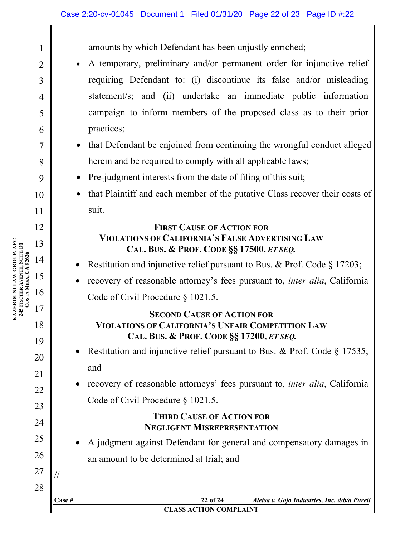amounts by which Defendant has been unjustly enriched;

- A temporary, preliminary and/or permanent order for injunctive relief requiring Defendant to: (i) discontinue its false and/or misleading statement/s; and (ii) undertake an immediate public information campaign to inform members of the proposed class as to their prior practices;
- that Defendant be enjoined from continuing the wrongful conduct alleged herein and be required to comply with all applicable laws;
- Pre-judgment interests from the date of filing of this suit;
- that Plaintiff and each member of the putative Class recover their costs of suit.

#### **FIRST CAUSE OF ACTION FOR VIOLATIONS OF CALIFORNIA'S FALSE ADVERTISING LAW CAL. BUS. & PROF. CODE §§ 17500,** *ET SEQ.*

- Restitution and injunctive relief pursuant to Bus. & Prof. Code § 17203;
- recovery of reasonable attorney's fees pursuant to, *inter alia*, California Code of Civil Procedure § 1021.5.

## **SECOND CAUSE OF ACTION FOR VIOLATIONS OF CALIFORNIA'S UNFAIR COMPETITION LAW CAL. BUS. & PROF. CODE §§ 17200,** *ET SEQ.*

- Restitution and injunctive relief pursuant to Bus. & Prof. Code § 17535; and
- recovery of reasonable attorneys' fees pursuant to, *inter alia*, California Code of Civil Procedure § 1021.5.

## **THIRD CAUSE OF ACTION FOR NEGLIGENT MISREPRESENTATION**

• A judgment against Defendant for general and compensatory damages in an amount to be determined at trial; and

**KAZEROUNI LAW GROUP, APC 245 FISCHER AVENUE, SUITE D1** KAZEROUNI LAW GROUP, APC<br>245 Fischer Avenue, Suite D1<br>Costa Mesa, CA 92626 **MESA, CA 92626** 12 13 14 15 16 17

1

2

3

4

5

6

7

8

9

10

11

18

19

20

21

22

23

24

25

26

27

//